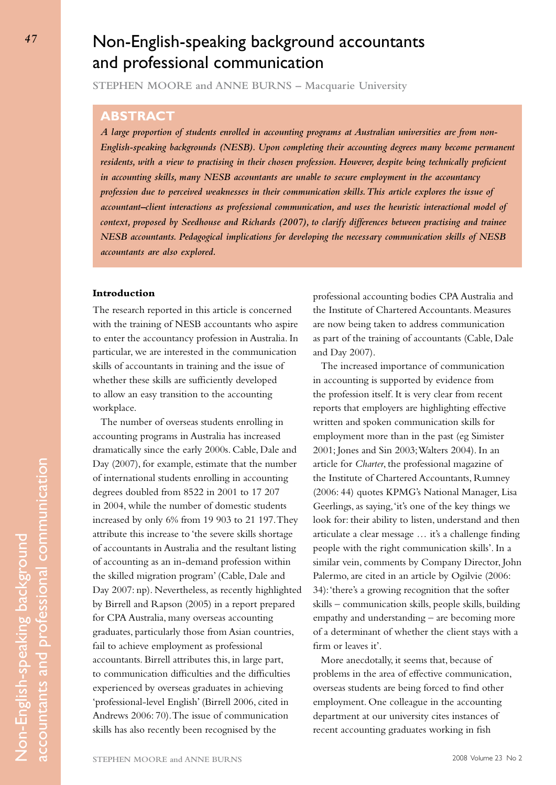# Non-English-speaking background accountants and professional communication

**STEPHEN MOORE and ANNE BURNS – Macquarie University**

# **Abstract**

*A large proportion of students enrolled in accounting programs at Australian universities are from non-English-speaking backgrounds (NESB). Upon completing their accounting degrees many become permanent*  residents, with a view to practising in their chosen profession. However, despite being technically proficient *in accounting skills, many NESB accountants are unable to secure employment in the accountancy profession due to perceived weaknesses in their communication skills. This article explores the issue of accountant–client interactions as professional communication, and uses the heuristic interactional model of context, proposed by Seedhouse and Richards (2007), to clarify differences between practising and trainee NESB accountants. Pedagogical implications for developing the necessary communication skills of NESB accountants are also explored.*

## **Introduction**

The research reported in this article is concerned with the training of NESB accountants who aspire to enter the accountancy profession in Australia. In particular, we are interested in the communication skills of accountants in training and the issue of whether these skills are sufficiently developed to allow an easy transition to the accounting workplace.

The number of overseas students enrolling in accounting programs in Australia has increased dramatically since the early 2000s. Cable, Dale and Day (2007), for example, estimate that the number of international students enrolling in accounting degrees doubled from 8522 in 2001 to 17 207 in 2004, while the number of domestic students increased by only 6% from 19 903 to 21 197. They attribute this increase to 'the severe skills shortage of accountants in Australia and the resultant listing of accounting as an in-demand profession within the skilled migration program' (Cable, Dale and Day 2007: np). Nevertheless, as recently highlighted by Birrell and Rapson (2005) in a report prepared for CPA Australia, many overseas accounting graduates, particularly those from Asian countries, fail to achieve employment as professional accountants. Birrell attributes this, in large part, to communication difficulties and the difficulties experienced by overseas graduates in achieving 'professional-level English' (Birrell 2006, cited in Andrews 2006: 70). The issue of communication skills has also recently been recognised by the

professional accounting bodies CPA Australia and the Institute of Chartered Accountants. Measures are now being taken to address communication as part of the training of accountants (Cable, Dale and Day 2007).

The increased importance of communication in accounting is supported by evidence from the profession itself. It is very clear from recent reports that employers are highlighting effective written and spoken communication skills for employment more than in the past (eg Simister 2001; Jones and Sin 2003; Walters 2004). In an article for *Charter*, the professional magazine of the Institute of Chartered Accountants, Rumney (2006: 44) quotes KPMG's National Manager, Lisa Geerlings, as saying, 'it's one of the key things we look for: their ability to listen, understand and then articulate a clear message … it's a challenge finding people with the right communication skills'. In a similar vein, comments by Company Director, John Palermo, are cited in an article by Ogilvie (2006: 34): 'there's a growing recognition that the softer skills – communication skills, people skills, building empathy and understanding – are becoming more of a determinant of whether the client stays with a firm or leaves it'.

More anecdotally, it seems that, because of problems in the area of effective communication, overseas students are being forced to find other employment. One colleague in the accounting department at our university cites instances of recent accounting graduates working in fish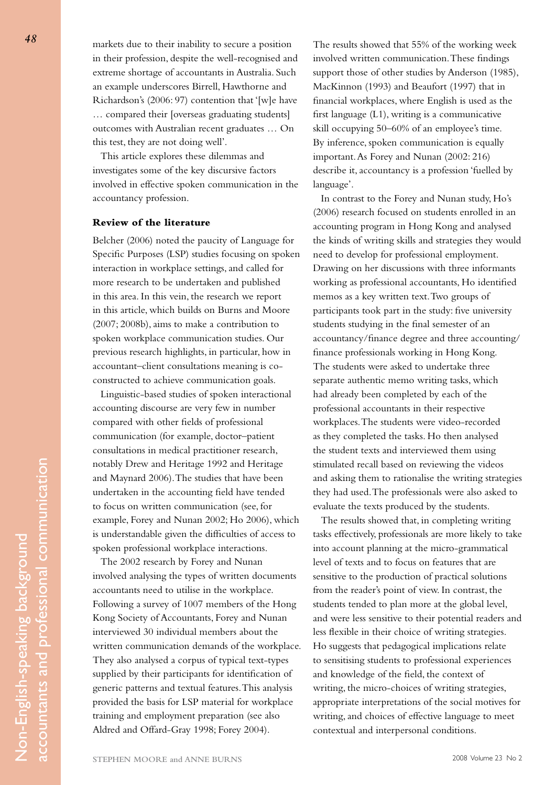markets due to their inability to secure a position in their profession, despite the well-recognised and extreme shortage of accountants in Australia. Such an example underscores Birrell, Hawthorne and Richardson's (2006: 97) contention that '[w]e have … compared their [overseas graduating students] outcomes with Australian recent graduates … On this test, they are not doing well'.

This article explores these dilemmas and investigates some of the key discursive factors involved in effective spoken communication in the accountancy profession.

# **Review of the literature**

Belcher (2006) noted the paucity of Language for Specific Purposes (LSP) studies focusing on spoken interaction in workplace settings, and called for more research to be undertaken and published in this area. In this vein, the research we report in this article, which builds on Burns and Moore (2007; 2008b), aims to make a contribution to spoken workplace communication studies. Our previous research highlights, in particular, how in accountant–client consultations meaning is coconstructed to achieve communication goals.

Linguistic-based studies of spoken interactional accounting discourse are very few in number compared with other fields of professional communication (for example, doctor–patient consultations in medical practitioner research, notably Drew and Heritage 1992 and Heritage and Maynard 2006). The studies that have been undertaken in the accounting field have tended to focus on written communication (see, for example, Forey and Nunan 2002; Ho 2006), which is understandable given the difficulties of access to spoken professional workplace interactions.

The 2002 research by Forey and Nunan involved analysing the types of written documents accountants need to utilise in the workplace. Following a survey of 1007 members of the Hong Kong Society of Accountants, Forey and Nunan interviewed 30 individual members about the written communication demands of the workplace. They also analysed a corpus of typical text-types supplied by their participants for identification of generic patterns and textual features. This analysis provided the basis for LSP material for workplace training and employment preparation (see also Aldred and Offard-Gray 1998; Forey 2004).

The results showed that 55% of the working week involved written communication. These findings support those of other studies by Anderson (1985), MacKinnon (1993) and Beaufort (1997) that in financial workplaces, where English is used as the first language (L1), writing is a communicative skill occupying 50–60% of an employee's time. By inference, spoken communication is equally important. As Forey and Nunan (2002: 216) describe it, accountancy is a profession 'fuelled by language'.

In contrast to the Forey and Nunan study, Ho's (2006) research focused on students enrolled in an accounting program in Hong Kong and analysed the kinds of writing skills and strategies they would need to develop for professional employment. Drawing on her discussions with three informants working as professional accountants, Ho identified memos as a key written text. Two groups of participants took part in the study: five university students studying in the final semester of an accountancy/finance degree and three accounting/ finance professionals working in Hong Kong. The students were asked to undertake three separate authentic memo writing tasks, which had already been completed by each of the professional accountants in their respective workplaces. The students were video-recorded as they completed the tasks. Ho then analysed the student texts and interviewed them using stimulated recall based on reviewing the videos and asking them to rationalise the writing strategies they had used. The professionals were also asked to evaluate the texts produced by the students.

The results showed that, in completing writing tasks effectively, professionals are more likely to take into account planning at the micro-grammatical level of texts and to focus on features that are sensitive to the production of practical solutions from the reader's point of view. In contrast, the students tended to plan more at the global level, and were less sensitive to their potential readers and less flexible in their choice of writing strategies. Ho suggests that pedagogical implications relate to sensitising students to professional experiences and knowledge of the field, the context of writing, the micro-choices of writing strategies, appropriate interpretations of the social motives for writing, and choices of effective language to meet contextual and interpersonal conditions.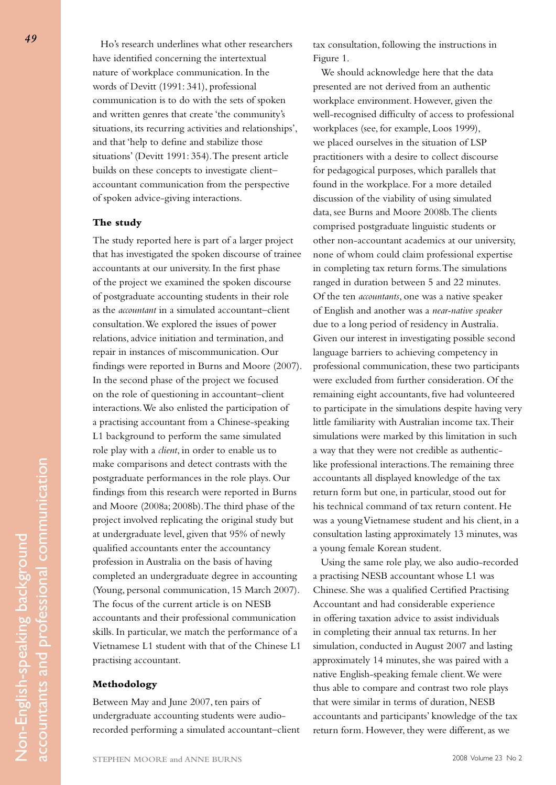Ho's research underlines what other researchers have identified concerning the intertextual nature of workplace communication. In the words of Devitt (1991: 341), professional communication is to do with the sets of spoken and written genres that create 'the community's situations, its recurring activities and relationships', and that 'help to define and stabilize those situations' (Devitt 1991: 354). The present article builds on these concepts to investigate client– accountant communication from the perspective of spoken advice-giving interactions.

# **The study**

The study reported here is part of a larger project that has investigated the spoken discourse of trainee accountants at our university. In the first phase of the project we examined the spoken discourse of postgraduate accounting students in their role as the *accountant* in a simulated accountant–client consultation. We explored the issues of power relations, advice initiation and termination, and repair in instances of miscommunication. Our findings were reported in Burns and Moore (2007). In the second phase of the project we focused on the role of questioning in accountant–client interactions. We also enlisted the participation of a practising accountant from a Chinese-speaking L1 background to perform the same simulated role play with a *client*, in order to enable us to make comparisons and detect contrasts with the postgraduate performances in the role plays. Our findings from this research were reported in Burns and Moore (2008a; 2008b). The third phase of the project involved replicating the original study but at undergraduate level, given that 95% of newly qualified accountants enter the accountancy profession in Australia on the basis of having completed an undergraduate degree in accounting (Young, personal communication, 15 March 2007). The focus of the current article is on NESB accountants and their professional communication skills. In particular, we match the performance of a Vietnamese L1 student with that of the Chinese L1 practising accountant.

#### **Methodology**

Between May and June 2007, ten pairs of undergraduate accounting students were audiorecorded performing a simulated accountant–client tax consultation, following the instructions in Figure 1.

We should acknowledge here that the data presented are not derived from an authentic workplace environment. However, given the well-recognised difficulty of access to professional workplaces (see, for example, Loos 1999), we placed ourselves in the situation of LSP practitioners with a desire to collect discourse for pedagogical purposes, which parallels that found in the workplace. For a more detailed discussion of the viability of using simulated data, see Burns and Moore 2008b. The clients comprised postgraduate linguistic students or other non-accountant academics at our university, none of whom could claim professional expertise in completing tax return forms. The simulations ranged in duration between 5 and 22 minutes. Of the ten *accountants*, one was a native speaker of English and another was a *near-native speaker* due to a long period of residency in Australia. Given our interest in investigating possible second language barriers to achieving competency in professional communication, these two participants were excluded from further consideration. Of the remaining eight accountants, five had volunteered to participate in the simulations despite having very little familiarity with Australian income tax. Their simulations were marked by this limitation in such a way that they were not credible as authenticlike professional interactions. The remaining three accountants all displayed knowledge of the tax return form but one, in particular, stood out for his technical command of tax return content. He was a young Vietnamese student and his client, in a consultation lasting approximately 13 minutes, was a young female Korean student.

Using the same role play, we also audio-recorded a practising NESB accountant whose L1 was Chinese. She was a qualified Certified Practising Accountant and had considerable experience in offering taxation advice to assist individuals in completing their annual tax returns. In her simulation, conducted in August 2007 and lasting approximately 14 minutes, she was paired with a native English-speaking female client. We were thus able to compare and contrast two role plays that were similar in terms of duration, NESB accountants and participants' knowledge of the tax return form. However, they were different, as we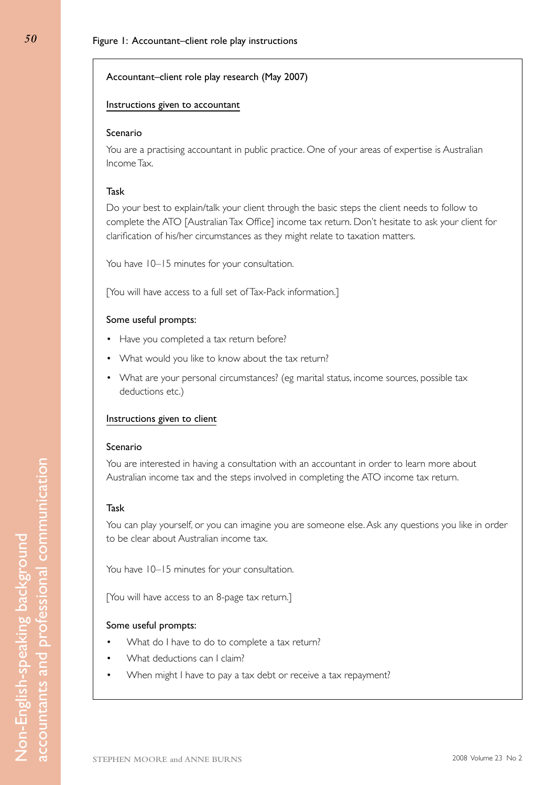# Accountant–client role play research (May 2007)

# Instructions given to accountant

## Scenario

You are a practising accountant in public practice. One of your areas of expertise is Australian Income Tax.

# Task

Do your best to explain/talk your client through the basic steps the client needs to follow to complete the ATO [Australian Tax Office] income tax return. Don't hesitate to ask your client for clarification of his/her circumstances as they might relate to taxation matters.

You have 10–15 minutes for your consultation.

[You will have access to a full set of Tax-Pack information.]

# Some useful prompts:

- Have you completed a tax return before?
- What would you like to know about the tax return?
- What are your personal circumstances? (eg marital status, income sources, possible tax deductions etc.)

#### Instructions given to client

#### Scenario

You are interested in having a consultation with an accountant in order to learn more about Australian income tax and the steps involved in completing the ATO income tax return.

## Task

Non-English-speaking background accountants and professional communication

Non-English-speaking background

accountants and professional communication

You can play yourself, or you can imagine you are someone else. Ask any questions you like in order to be clear about Australian income tax.

You have 10–15 minutes for your consultation.

[You will have access to an 8-page tax return.]

#### Some useful prompts:

- What do I have to do to complete a tax return?
- What deductions can I claim?
- When might I have to pay a tax debt or receive a tax repayment?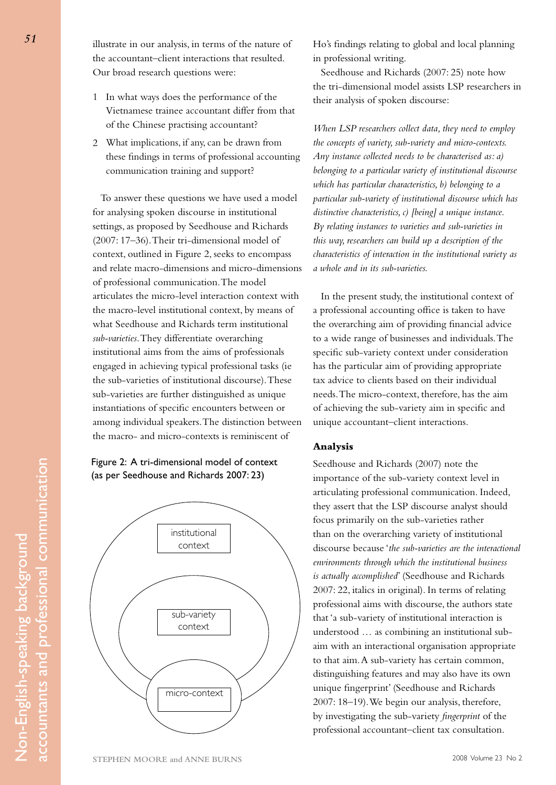illustrate in our analysis, in terms of the nature of the accountant–client interactions that resulted. Our broad research questions were:

- 1 In what ways does the performance of the Vietnamese trainee accountant differ from that of the Chinese practising accountant?
- 2 What implications, if any, can be drawn from these findings in terms of professional accounting communication training and support?

To answer these questions we have used a model for analysing spoken discourse in institutional settings, as proposed by Seedhouse and Richards (2007: 17–36). Their tri-dimensional model of context, outlined in Figure 2, seeks to encompass and relate macro-dimensions and micro-dimensions of professional communication. The model articulates the micro-level interaction context with the macro-level institutional context, by means of what Seedhouse and Richards term institutional *sub-varieties*. They differentiate overarching institutional aims from the aims of professionals engaged in achieving typical professional tasks (ie the sub-varieties of institutional discourse). These sub-varieties are further distinguished as unique instantiations of specific encounters between or among individual speakers. The distinction between the macro- and micro-contexts is reminiscent of





Ho's findings relating to global and local planning in professional writing.

Seedhouse and Richards (2007: 25) note how the tri-dimensional model assists LSP researchers in their analysis of spoken discourse:

*When LSP researchers collect data, they need to employ the concepts of variety, sub-variety and micro-contexts. Any instance collected needs to be characterised as: a) belonging to a particular variety of institutional discourse which has particular characteristics, b) belonging to a particular sub-variety of institutional discourse which has distinctive characteristics, c) [being] a unique instance. By relating instances to varieties and sub-varieties in this way, researchers can build up a description of the characteristics of interaction in the institutional variety as a whole and in its sub-varieties.* 

In the present study, the institutional context of a professional accounting office is taken to have the overarching aim of providing financial advice to a wide range of businesses and individuals. The specific sub-variety context under consideration has the particular aim of providing appropriate tax advice to clients based on their individual needs. The micro-context, therefore, has the aim of achieving the sub-variety aim in specific and unique accountant–client interactions.

# **Analysis**

Seedhouse and Richards (2007) note the importance of the sub-variety context level in articulating professional communication. Indeed, they assert that the LSP discourse analyst should focus primarily on the sub-varieties rather than on the overarching variety of institutional discourse because '*the sub-varieties are the interactional environments through which the institutional business is actually accomplished*' (Seedhouse and Richards 2007: 22, italics in original). In terms of relating professional aims with discourse, the authors state that 'a sub-variety of institutional interaction is understood … as combining an institutional subaim with an interactional organisation appropriate to that aim. A sub-variety has certain common, distinguishing features and may also have its own unique fingerprint' (Seedhouse and Richards 2007: 18–19). We begin our analysis, therefore, by investigating the sub-variety *fingerprint* of the professional accountant–client tax consultation.

Non-English-speaking background accountants and professional communication

Non-English-speaking background

accountants and professional communication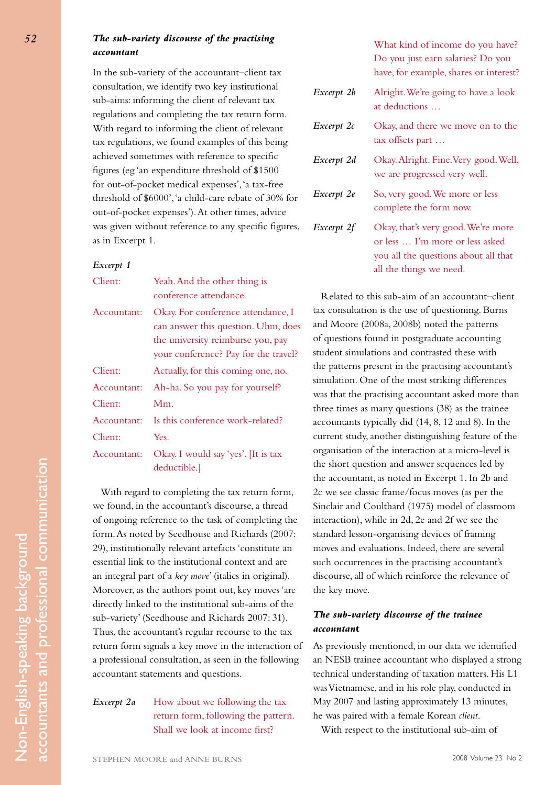# *The sub-variety discourse of the practising accountant*

In the sub-variety of the accountant–client tax consultation, we identify two key institutional sub-aims: informing the client of relevant tax regulations and completing the tax return form. With regard to informing the client of relevant tax regulations, we found examples of this being achieved sometimes with reference to specific figures (eg 'an expenditure threshold of \$1500 for out-of-pocket medical expenses', 'a tax-free threshold of \$6000', 'a child-care rebate of 30% for out-of-pocket expenses'). At other times, advice was given without reference to any specific figures, as in Excerpt 1.

## *Excerpt 1*

| Client:     | Yeah. And the other thing is         |
|-------------|--------------------------------------|
|             | conference attendance.               |
| Accountant: | Okay. For conference attendance, I   |
|             | can answer this question. Uhm, does  |
|             | the university reimburse you, pay    |
|             | your conference? Pay for the travel? |
| Client:     | Actually, for this coming one, no.   |
| Accountant: | Ah-ha. So you pay for yourself?      |
| Client:     | $Mm$ .                               |
| Accountant: | Is this conference work-related?     |
| Client:     | Yes.                                 |
| Accountant: | Okay. I would say 'yes'. [It is tax  |
|             | deductible.]                         |

With regard to completing the tax return form, we found, in the accountant's discourse, a thread of ongoing reference to the task of completing the form. As noted by Seedhouse and Richards (2007: 29), institutionally relevant artefacts 'constitute an essential link to the institutional context and are an integral part of a *key move*' (italics in original). Moreover, as the authors point out, key moves 'are directly linked to the institutional sub-aims of the sub-variety' (Seedhouse and Richards 2007: 31). Thus, the accountant's regular recourse to the tax return form signals a key move in the interaction of a professional consultation, as seen in the following accountant statements and questions.

*Excerpt 2a* How about we following the tax return form, following the pattern. Shall we look at income first?

What kind of income do you have? Do you just earn salaries? Do you have, for example, shares or interest?

- *Excerpt 2b* Alright. We're going to have a look at deductions …
- *Excerpt 2c* Okay, and there we move on to the tax offsets part …
- *Excerpt 2d* Okay. Alright. Fine. Very good. Well, we are progressed very well.
- *Excerpt 2e* So, very good. We more or less complete the form now.
- *Excerpt 2f* Okay, that's very good. We're more or less … I'm more or less asked you all the questions about all that all the things we need.

Related to this sub-aim of an accountant–client tax consultation is the use of questioning. Burns and Moore (2008a, 2008b) noted the patterns of questions found in postgraduate accounting student simulations and contrasted these with the patterns present in the practising accountant's simulation. One of the most striking differences was that the practising accountant asked more than three times as many questions (38) as the trainee accountants typically did (14, 8, 12 and 8). In the current study, another distinguishing feature of the organisation of the interaction at a micro-level is the short question and answer sequences led by the accountant, as noted in Excerpt 1. In 2b and 2c we see classic frame/focus moves (as per the Sinclair and Coulthard (1975) model of classroom interaction), while in 2d, 2e and 2f we see the standard lesson-organising devices of framing moves and evaluations. Indeed, there are several such occurrences in the practising accountant's discourse, all of which reinforce the relevance of the key move.

# *The sub-variety discourse of the trainee accountan***t**

As previously mentioned, in our data we identified an NESB trainee accountant who displayed a strong technical understanding of taxation matters. His L1 was Vietnamese, and in his role play, conducted in May 2007 and lasting approximately 13 minutes, he was paired with a female Korean *client*.

With respect to the institutional sub-aim of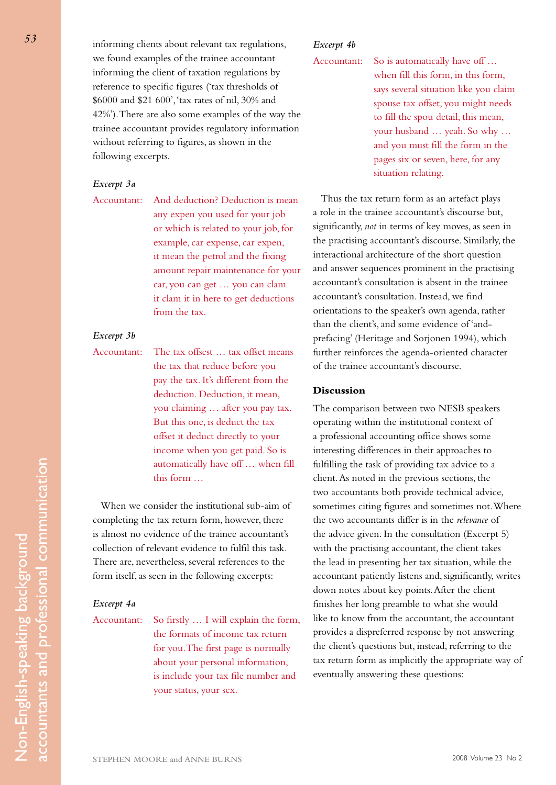informing clients about relevant tax regulations, we found examples of the trainee accountant informing the client of taxation regulations by reference to specific figures ('tax thresholds of \$6000 and \$21 600', 'tax rates of nil, 30% and 42%'). There are also some examples of the way the trainee accountant provides regulatory information without referring to figures, as shown in the following excerpts.

## *Excerpt 3a*

Accountant: And deduction? Deduction is mean any expen you used for your job or which is related to your job, for example, car expense, car expen, it mean the petrol and the fixing amount repair maintenance for your car, you can get … you can clam it clam it in here to get deductions from the tax.

# *Excerpt 3b*

Accountant: The tax offsest … tax offset means the tax that reduce before you pay the tax. It's different from the deduction. Deduction, it mean, you claiming … after you pay tax. But this one, is deduct the tax offset it deduct directly to your income when you get paid. So is automatically have off … when fill this form …

When we consider the institutional sub-aim of completing the tax return form, however, there is almost no evidence of the trainee accountant's collection of relevant evidence to fulfil this task. There are, nevertheless, several references to the form itself, as seen in the following excerpts:

#### *Excerpt 4a*

Accountant: So firstly … I will explain the form, the formats of income tax return for you. The first page is normally about your personal information, is include your tax file number and your status, your sex.

# *Excerpt 4b*

Accountant: So is automatically have off ... when fill this form, in this form, says several situation like you claim spouse tax offset, you might needs to fill the spou detail, this mean, your husband … yeah. So why … and you must fill the form in the pages six or seven, here, for any situation relating.

Thus the tax return form as an artefact plays a role in the trainee accountant's discourse but, significantly, *not* in terms of key moves, as seen in the practising accountant's discourse. Similarly, the interactional architecture of the short question and answer sequences prominent in the practising accountant's consultation is absent in the trainee accountant's consultation. Instead, we find orientations to the speaker's own agenda, rather than the client's, and some evidence of 'andprefacing' (Heritage and Sorjonen 1994), which further reinforces the agenda-oriented character of the trainee accountant's discourse.

## **Discussion**

The comparison between two NESB speakers operating within the institutional context of a professional accounting office shows some interesting differences in their approaches to fulfilling the task of providing tax advice to a client. As noted in the previous sections, the two accountants both provide technical advice, sometimes citing figures and sometimes not. Where the two accountants differ is in the *relevance* of the advice given. In the consultation (Excerpt 5) with the practising accountant, the client takes the lead in presenting her tax situation, while the accountant patiently listens and, significantly, writes down notes about key points. After the client finishes her long preamble to what she would like to know from the accountant, the accountant provides a dispreferred response by not answering the client's questions but, instead, referring to the tax return form as implicitly the appropriate way of eventually answering these questions: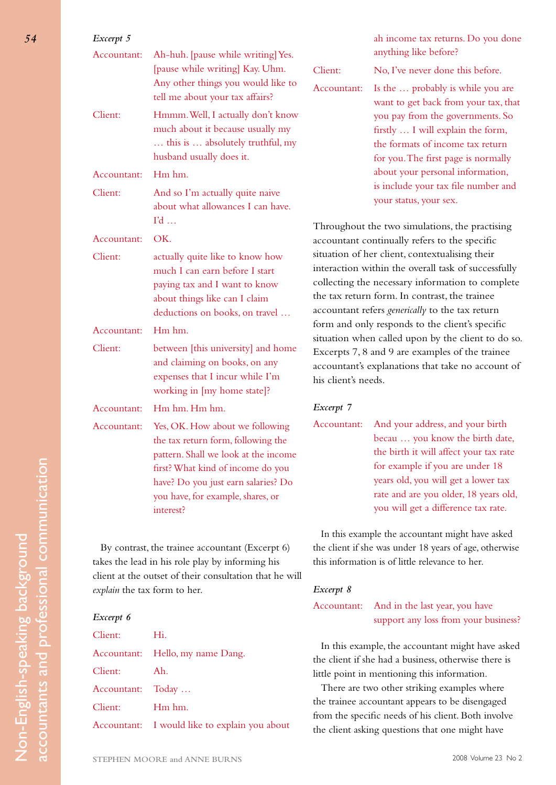| Excerpt 5                                        |                                                                                                                                                                                                                                                                                                                                               |                        | ah income tax returns. Do you done                                                                                                                                                                                                                                                                                                                                                                                                                                                                                                                                                |
|--------------------------------------------------|-----------------------------------------------------------------------------------------------------------------------------------------------------------------------------------------------------------------------------------------------------------------------------------------------------------------------------------------------|------------------------|-----------------------------------------------------------------------------------------------------------------------------------------------------------------------------------------------------------------------------------------------------------------------------------------------------------------------------------------------------------------------------------------------------------------------------------------------------------------------------------------------------------------------------------------------------------------------------------|
| Accountant:<br>Client:                           | Ah-huh. [pause while writing] Yes.<br>[pause while writing] Kay. Uhm.<br>Any other things you would like to<br>tell me about your tax affairs?<br>Hmmm. Well, I actually don't know<br>much about it because usually my<br>this is  absolutely truthful, my                                                                                   | Client:<br>Accountant: | anything like before?<br>No, I've never done this before.<br>Is the  probably is while you are<br>want to get back from your tax, that<br>you pay from the governments. So<br>firstly  I will explain the form,<br>the formats of income tax return<br>for you. The first page is normally<br>about your personal information,<br>is include your tax file number and<br>your status, your sex.                                                                                                                                                                                   |
| Accountant:<br>Client:                           | husband usually does it.<br>Hm hm.<br>And so I'm actually quite naive<br>about what allowances I can have.                                                                                                                                                                                                                                    |                        |                                                                                                                                                                                                                                                                                                                                                                                                                                                                                                                                                                                   |
| Accountant:<br>Client:<br>Accountant:<br>Client: | $\Gamma d$<br>OK.<br>actually quite like to know how<br>much I can earn before I start<br>paying tax and I want to know<br>about things like can I claim<br>deductions on books, on travel<br>Hm hm.<br>between [this university] and home<br>and claiming on books, on any<br>expenses that I incur while I'm<br>working in [my home state]? | his client's needs.    | Throughout the two simulations, the practising<br>accountant continually refers to the specific<br>situation of her client, contextualising their<br>interaction within the overall task of successfully<br>collecting the necessary information to complete<br>the tax return form. In contrast, the trainee<br>accountant refers generically to the tax return<br>form and only responds to the client's specific<br>situation when called upon by the client to do so.<br>Excerpts 7, 8 and 9 are examples of the trainee<br>accountant's explanations that take no account of |
| Accountant:                                      | Hm hm. Hm hm.                                                                                                                                                                                                                                                                                                                                 | Excerpt 7              |                                                                                                                                                                                                                                                                                                                                                                                                                                                                                                                                                                                   |
| Accountant:                                      | Yes, OK. How about we following<br>the tax return form, following the<br>pattern. Shall we look at the income<br>first? What kind of income do you<br>have? Do you just earn salaries? Do<br>you have, for example, shares, or<br>interest?                                                                                                   | Accountant:            | And your address, and your birth<br>becau  you know the birth date,<br>the birth it will affect your tax rate<br>for example if you are under 18<br>years old, you will get a lower tax<br>rate and are you older, 18 years old,<br>you will get a difference tax rate.                                                                                                                                                                                                                                                                                                           |
|                                                  |                                                                                                                                                                                                                                                                                                                                               |                        | In this example the accountant might have asked                                                                                                                                                                                                                                                                                                                                                                                                                                                                                                                                   |

By contrast, the trainee accountant (Excerpt 6) takes the lead in his role play by informing his client at the outset of their consultation that he will *explain* the tax form to her.

# *Excerpt 6*

Non-English-speaking background accountants and professional communication

Non-English-speaking background

accountants and professional communication

| Client:           | Hi.                                           |
|-------------------|-----------------------------------------------|
|                   | Accountant: Hello, my name Dang.              |
| Client:           | Ah.                                           |
| Accountant: Today |                                               |
| Client:           | Hm hm.                                        |
|                   | Accountant: I would like to explain you about |

*Excerpt 8*

Accountant: And in the last year, you have support any loss from your business?

the client if she was under 18 years of age, otherwise

this information is of little relevance to her.

In this example, the accountant might have asked the client if she had a business, otherwise there is little point in mentioning this information.

There are two other striking examples where the trainee accountant appears to be disengaged from the specific needs of his client. Both involve the client asking questions that one might have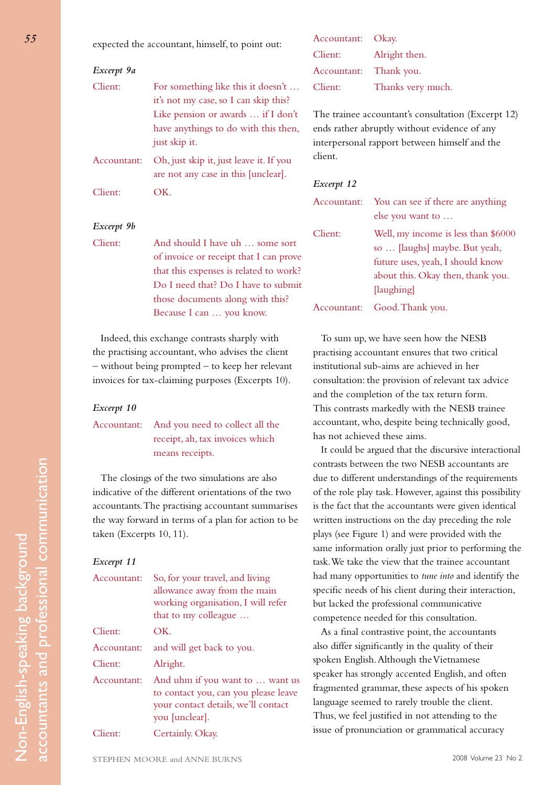expected the accountant, himself, to point out:

| Excerpt 9a  |                                                                                                                                                                            |
|-------------|----------------------------------------------------------------------------------------------------------------------------------------------------------------------------|
| Client:     | For something like this it doesn't<br>it's not my case, so I can skip this?<br>Like pension or awards  if I don't<br>have anythings to do with this then,<br>just skip it. |
| Accountant: | Oh, just skip it, just leave it. If you<br>are not any case in this [unclear].                                                                                             |
| Client:     | $\sum$                                                                                                                                                                     |

#### *Excerpt 9b*

Client: And should I have uh … some sort of invoice or receipt that I can prove that this expenses is related to work? Do I need that? Do I have to submit those documents along with this? Because I can … you know.

Indeed, this exchange contrasts sharply with the practising accountant, who advises the client – without being prompted – to keep her relevant invoices for tax-claiming purposes (Excerpts 10).

#### *Excerpt 10*

Accountant: And you need to collect all the receipt, ah, tax invoices which means receipts.

The closings of the two simulations are also indicative of the different orientations of the two accountants. The practising accountant summarises the way forward in terms of a plan for action to be taken (Excerpts 10, 11).

#### *Excerpt 11*

Non-English-speaking background accountants and professional communication

Non-English-speaking background

accountants and professional communication

| Accountant: | So, for your travel, and living<br>allowance away from the main<br>working organisation, I will refer<br>that to my colleague    |
|-------------|----------------------------------------------------------------------------------------------------------------------------------|
| Client:     | OK.                                                                                                                              |
| Accountant: | and will get back to you.                                                                                                        |
| Client:     | Alright.                                                                                                                         |
| Accountant: | And uhm if you want to  want us<br>to contact you, can you please leave<br>your contact details, we'll contact<br>you [unclear]. |
| Client:     | Certainly. Okay.                                                                                                                 |

| Accountant: Okay.      |                   |
|------------------------|-------------------|
| Client:                | Alright then.     |
| Accountant: Thank you. |                   |
| Client:                | Thanks very much. |

The trainee accountant's consultation (Excerpt 12) ends rather abruptly without evidence of any interpersonal rapport between himself and the client.

# *Excerpt 12*

| Accountant: | You can see if there are anything<br>else you want to                 |
|-------------|-----------------------------------------------------------------------|
| Client:     | Well, my income is less than \$6000<br>so  [laughs] maybe. But yeah,  |
|             | future uses, yeah, I should know<br>about this. Okay then, thank you. |
|             | [laughing]                                                            |
| Accountant: | Good. Thank you.                                                      |

To sum up, we have seen how the NESB practising accountant ensures that two critical institutional sub-aims are achieved in her consultation: the provision of relevant tax advice and the completion of the tax return form. This contrasts markedly with the NESB trainee accountant, who, despite being technically good, has not achieved these aims.

It could be argued that the discursive interactional contrasts between the two NESB accountants are due to different understandings of the requirements of the role play task. However, against this possibility is the fact that the accountants were given identical written instructions on the day preceding the role plays (see Figure 1) and were provided with the same information orally just prior to performing the task. We take the view that the trainee accountant had many opportunities to *tune into* and identify the specific needs of his client during their interaction, but lacked the professional communicative competence needed for this consultation.

As a final contrastive point, the accountants also differ significantly in the quality of their spoken English. Although the Vietnamese speaker has strongly accented English, and often fragmented grammar, these aspects of his spoken language seemed to rarely trouble the client. Thus, we feel justified in not attending to the issue of pronunciation or grammatical accuracy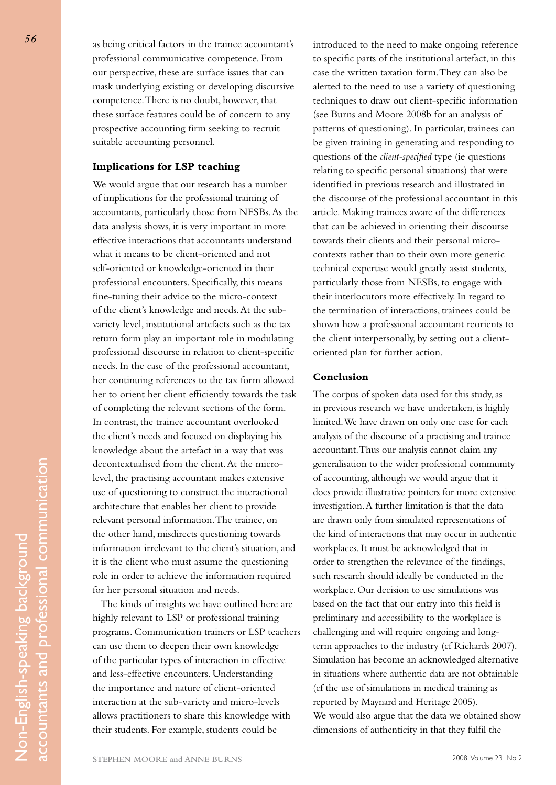as being critical factors in the trainee accountant's professional communicative competence. From our perspective, these are surface issues that can mask underlying existing or developing discursive competence. There is no doubt, however, that these surface features could be of concern to any prospective accounting firm seeking to recruit suitable accounting personnel.

### **Implications for LSP teaching**

We would argue that our research has a number of implications for the professional training of accountants, particularly those from NESBs. As the data analysis shows, it is very important in more effective interactions that accountants understand what it means to be client-oriented and not self-oriented or knowledge-oriented in their professional encounters. Specifically, this means fine-tuning their advice to the micro-context of the client's knowledge and needs. At the subvariety level, institutional artefacts such as the tax return form play an important role in modulating professional discourse in relation to client-specific needs. In the case of the professional accountant, her continuing references to the tax form allowed her to orient her client efficiently towards the task of completing the relevant sections of the form. In contrast, the trainee accountant overlooked the client's needs and focused on displaying his knowledge about the artefact in a way that was decontextualised from the client. At the microlevel, the practising accountant makes extensive use of questioning to construct the interactional architecture that enables her client to provide relevant personal information. The trainee, on the other hand, misdirects questioning towards information irrelevant to the client's situation, and it is the client who must assume the questioning role in order to achieve the information required for her personal situation and needs.

The kinds of insights we have outlined here are highly relevant to LSP or professional training programs. Communication trainers or LSP teachers can use them to deepen their own knowledge of the particular types of interaction in effective and less-effective encounters. Understanding the importance and nature of client-oriented interaction at the sub-variety and micro-levels allows practitioners to share this knowledge with their students. For example, students could be

introduced to the need to make ongoing reference to specific parts of the institutional artefact, in this case the written taxation form. They can also be alerted to the need to use a variety of questioning techniques to draw out client-specific information (see Burns and Moore 2008b for an analysis of patterns of questioning). In particular, trainees can be given training in generating and responding to questions of the *client-specified* type (ie questions relating to specific personal situations) that were identified in previous research and illustrated in the discourse of the professional accountant in this article. Making trainees aware of the differences that can be achieved in orienting their discourse towards their clients and their personal microcontexts rather than to their own more generic technical expertise would greatly assist students, particularly those from NESBs, to engage with their interlocutors more effectively. In regard to the termination of interactions, trainees could be shown how a professional accountant reorients to the client interpersonally, by setting out a clientoriented plan for further action.

## **Conclusion**

The corpus of spoken data used for this study, as in previous research we have undertaken, is highly limited. We have drawn on only one case for each analysis of the discourse of a practising and trainee accountant. Thus our analysis cannot claim any generalisation to the wider professional community of accounting, although we would argue that it does provide illustrative pointers for more extensive investigation. A further limitation is that the data are drawn only from simulated representations of the kind of interactions that may occur in authentic workplaces. It must be acknowledged that in order to strengthen the relevance of the findings, such research should ideally be conducted in the workplace. Our decision to use simulations was based on the fact that our entry into this field is preliminary and accessibility to the workplace is challenging and will require ongoing and longterm approaches to the industry (cf Richards 2007). Simulation has become an acknowledged alternative in situations where authentic data are not obtainable (cf the use of simulations in medical training as reported by Maynard and Heritage 2005). We would also argue that the data we obtained show dimensions of authenticity in that they fulfil the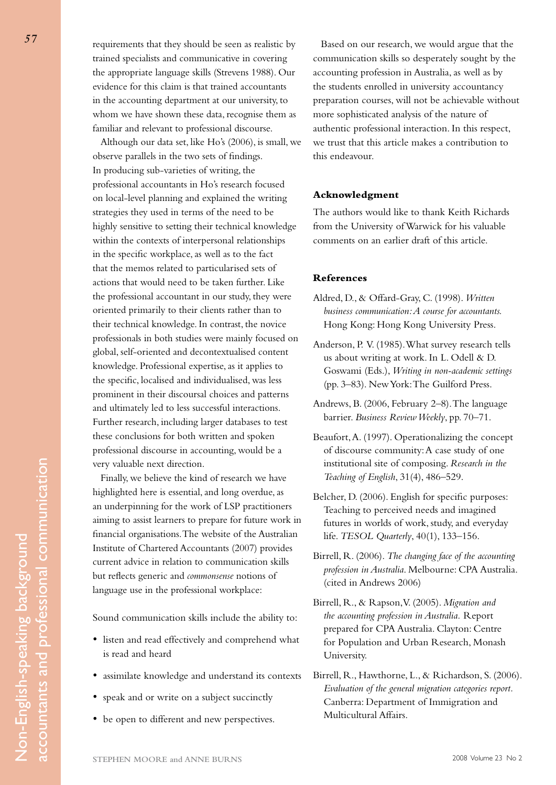requirements that they should be seen as realistic by trained specialists and communicative in covering the appropriate language skills (Strevens 1988). Our evidence for this claim is that trained accountants in the accounting department at our university, to whom we have shown these data, recognise them as familiar and relevant to professional discourse.

Although our data set, like Ho's (2006), is small, we observe parallels in the two sets of findings. In producing sub-varieties of writing, the professional accountants in Ho's research focused on local-level planning and explained the writing strategies they used in terms of the need to be highly sensitive to setting their technical knowledge within the contexts of interpersonal relationships in the specific workplace, as well as to the fact that the memos related to particularised sets of actions that would need to be taken further. Like the professional accountant in our study, they were oriented primarily to their clients rather than to their technical knowledge. In contrast, the novice professionals in both studies were mainly focused on global, self-oriented and decontextualised content knowledge. Professional expertise, as it applies to the specific, localised and individualised, was less prominent in their discoursal choices and patterns and ultimately led to less successful interactions. Further research, including larger databases to test these conclusions for both written and spoken professional discourse in accounting, would be a very valuable next direction.

Finally, we believe the kind of research we have highlighted here is essential, and long overdue, as an underpinning for the work of LSP practitioners aiming to assist learners to prepare for future work in financial organisations. The website of the Australian Institute of Chartered Accountants (2007) provides current advice in relation to communication skills but reflects generic and *commonsense* notions of language use in the professional workplace:

Sound communication skills include the ability to:

- • listen and read effectively and comprehend what is read and heard
- • assimilate knowledge and understand its contexts
- speak and or write on a subject succinctly
- • be open to different and new perspectives.

Based on our research, we would argue that the communication skills so desperately sought by the accounting profession in Australia, as well as by the students enrolled in university accountancy preparation courses, will not be achievable without more sophisticated analysis of the nature of authentic professional interaction. In this respect, we trust that this article makes a contribution to this endeavour.

# **Acknowledgment**

The authors would like to thank Keith Richards from the University of Warwick for his valuable comments on an earlier draft of this article.

#### **References**

- Aldred, D., & Offard-Gray, C. (1998). *Written business communication: A course for accountants.* Hong Kong: Hong Kong University Press.
- Anderson, P. V. (1985). What survey research tells us about writing at work. In L. Odell & D. Goswami (Eds.), *Writing in non-academic settings* (pp. 3–83). New York: The Guilford Press.
- Andrews, B. (2006, February 2–8). The language barrier. *Business Review Weekly*, pp. 70–71.
- Beaufort, A. (1997). Operationalizing the concept of discourse community: A case study of one institutional site of composing. *Research in the Teaching of English*, 31(4), 486–529.
- Belcher, D. (2006). English for specific purposes: Teaching to perceived needs and imagined futures in worlds of work, study, and everyday life. *TESOL Quarterly*, 40(1), 133–156.
- Birrell, R. (2006). *The changing face of the accounting profession in Australia*. Melbourne: CPA Australia. (cited in Andrews 2006)
- Birrell, R., & Rapson, V. (2005). *Migration and the accounting profession in Australia.* Report prepared for CPA Australia. Clayton: Centre for Population and Urban Research, Monash University.
- Birrell, R., Hawthorne, L., & Richardson, S. (2006). *Evaluation of the general migration categories report.* Canberra: Department of Immigration and Multicultural Affairs.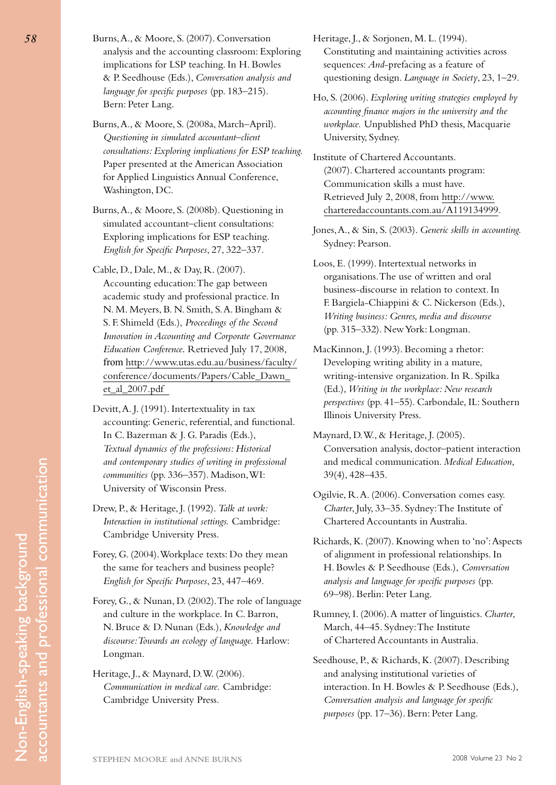Burns, A., & Moore, S. (2007). Conversation analysis and the accounting classroom: Exploring implications for LSP teaching. In H. Bowles & P. Seedhouse (Eds.), *Conversation analysis and language for specific purposes* (pp. 183–215). Bern: Peter Lang.

Burns, A., & Moore, S. (2008a, March–April). *Questioning in simulated accountant–client consultations: Exploring implications for ESP teaching.*  Paper presented at the American Association for Applied Linguistics Annual Conference, Washington, DC.

Burns, A., & Moore, S. (2008b). Questioning in simulated accountant–client consultations: Exploring implications for ESP teaching. *English for Specific Purposes*, 27, 322–337.

Cable, D., Dale, M., & Day, R. (2007). Accounting education: The gap between academic study and professional practice. In N. M. Meyers, B. N. Smith, S. A. Bingham & S. F. Shimeld (Eds.), *Proceedings of the Second Innovation in Accounting and Corporate Governance Education Conference*. Retrieved July 17, 2008, from http://www.utas.edu.au/business/faculty/ conference/documents/Papers/Cable\_Dawn\_ et\_al\_2007.pdf

- Devitt, A. J. (1991). Intertextuality in tax accounting: Generic, referential, and functional. In C. Bazerman & J. G. Paradis (Eds.), *Textual dynamics of the professions: Historical and contemporary studies of writing in professional communities* (pp. 336–357). Madison, WI: University of Wisconsin Press.
- Drew, P., & Heritage, J. (1992). *Talk at work: Interaction in institutional settings.* Cambridge: Cambridge University Press.
- Forey, G. (2004). Workplace texts: Do they mean the same for teachers and business people? *English for Specific Purposes*, 23, 447–469.
- Forey, G., & Nunan, D. (2002). The role of language and culture in the workplace. In C. Barron, N. Bruce & D. Nunan (Eds.), *Knowledge and discourse: Towards an ecology of language.* Harlow: Longman.
- Heritage, J., & Maynard, D. W. (2006). *Communication in medical care.* Cambridge: Cambridge University Press.

Heritage, J., & Sorjonen, M. L. (1994). Constituting and maintaining activities across sequences: *And*-prefacing as a feature of questioning design. *Language in Society*, 23, 1–29.

Ho, S. (2006). *Exploring writing strategies employed by accounting finance majors in the university and the workplace.* Unpublished PhD thesis, Macquarie University, Sydney.

Institute of Chartered Accountants. (2007). Chartered accountants program: Communication skills a must have. Retrieved July 2, 2008, from http://www. charteredaccountants.com.au/A119134999.

Jones, A., & Sin, S. (2003). *Generic skills in accounting.* Sydney: Pearson.

Loos, E. (1999). Intertextual networks in organisations. The use of written and oral business-discourse in relation to context. In F. Bargiela-Chiappini & C. Nickerson (Eds.), *Writing business: Genres, media and discourse* (pp. 315–332). New York: Longman.

MacKinnon, J. (1993). Becoming a rhetor: Developing writing ability in a mature, writing-intensive organization. In R. Spilka (Ed.), *Writing in the workplace: New research perspectives* (pp. 41–55). Carbondale, IL: Southern Illinois University Press.

Maynard, D. W., & Heritage, J. (2005). Conversation analysis, doctor–patient interaction and medical communication. *Medical Education*, 39(4), 428–435.

Ogilvie, R. A. (2006). Conversation comes easy. *Charter*, July, 33–35. Sydney: The Institute of Chartered Accountants in Australia.

Richards, K. (2007). Knowing when to 'no': Aspects of alignment in professional relationships. In H. Bowles & P. Seedhouse (Eds.), *Conversation analysis and language for specific purposes* (pp. 69–98). Berlin: Peter Lang.

Rumney, I. (2006). A matter of linguistics. *Charter*, March, 44–45. Sydney: The Institute of Chartered Accountants in Australia.

Seedhouse, P., & Richards, K. (2007). Describing and analysing institutional varieties of interaction. In H. Bowles & P. Seedhouse (Eds.), *Conversation analysis and language for specific purposes* (pp. 17–36). Bern: Peter Lang.